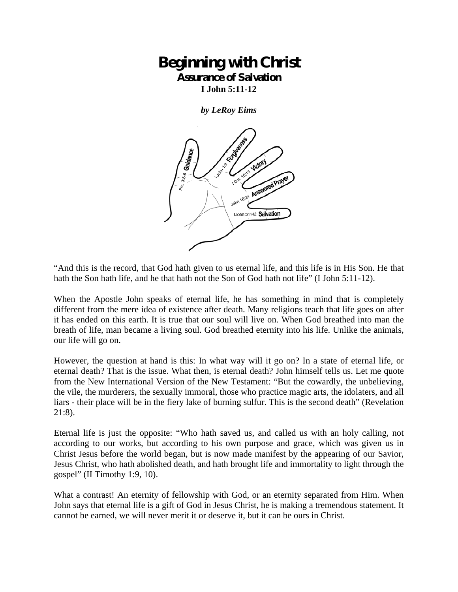## **Beginning with Christ Assurance of Salvation**

**I John 5:11-12** 

*by LeRoy Eims* 



"And this is the record, that God hath given to us eternal life, and this life is in His Son. He that hath the Son hath life, and he that hath not the Son of God hath not life" (I John 5:11-12).

When the Apostle John speaks of eternal life, he has something in mind that is completely different from the mere idea of existence after death. Many religions teach that life goes on after it has ended on this earth. It is true that our soul will live on. When God breathed into man the breath of life, man became a living soul. God breathed eternity into his life. Unlike the animals, our life will go on.

However, the question at hand is this: In what way will it go on? In a state of eternal life, or eternal death? That is the issue. What then, is eternal death? John himself tells us. Let me quote from the New International Version of the New Testament: "But the cowardly, the unbelieving, the vile, the murderers, the sexually immoral, those who practice magic arts, the idolaters, and all liars - their place will be in the fiery lake of burning sulfur. This is the second death" (Revelation 21:8).

Eternal life is just the opposite: "Who hath saved us, and called us with an holy calling, not according to our works, but according to his own purpose and grace, which was given us in Christ Jesus before the world began, but is now made manifest by the appearing of our Savior, Jesus Christ, who hath abolished death, and hath brought life and immortality to light through the gospel" (II Timothy 1:9, 10).

What a contrast! An eternity of fellowship with God, or an eternity separated from Him. When John says that eternal life is a gift of God in Jesus Christ, he is making a tremendous statement. It cannot be earned, we will never merit it or deserve it, but it can be ours in Christ.